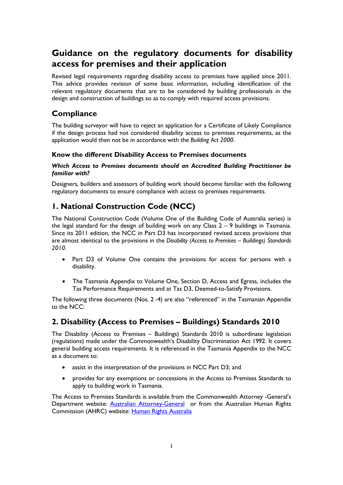# **Guidance on the regulatory documents for disability access for premises and their application**

Revised legal requirements regarding disability access to premises have applied since 2011. This advice provides revision of some basic information, including identification of the relevant regulatory documents that are to be considered by building professionals in the design and construction of buildings so as to comply with required access provisions.

## **Compliance**

The building surveyor will have to reject an application for a Certificate of Likely Compliance if the design process had not considered disability access to premises requirements, as the application would then not be in accordance with the *Building Act 2000*.

### **Know the different Disability Access to Premises documents**

#### *Which Access to Premises documents should an Accredited Building Practitioner be familiar with?*

Designers, builders and assessors of building work should become familiar with the following regulatory documents to ensure compliance with access to premises requirements.

## **1. National Construction Code (NCC)**

The National Construction Code (Volume One of the Building Code of Australia series) is the legal standard for the design of building work on any Class 2 – 9 buildings in Tasmania. Since its 2011 edition, the NCC in Part D3 has incorporated revised access provisions that are almost identical to the provisions in the *Disability (Access to Premises – Buildings) Standards 2010*.

- Part D3 of Volume One contains the provisions for access for persons with a disability.
- The Tasmania Appendix to Volume One, Section D, Access and Egress, includes the Tas Performance Requirements and at Tas D3, Deemed-to-Satisfy Provisions.

The following three documents (Nos. 2 -4) are also "referenced" in the Tasmanian Appendix to the NCC:

## **2. Disability (Access to Premises – Buildings) Standards 2010**

The Disability (Access to Premises – Buildings) Standards 2010 is subordinate legislation (regulations) made under the Commonwealth's Disability Discrimination Act 1992. It covers general building access requirements. It is referenced in the Tasmania Appendix to the NCC as a document to:

- assist in the interpretation of the provisions in NCC Part D3; and
- provides for any exemptions or concessions in the Access to Premises Standards to apply to building work in Tasmania.

The Access to Premises Standards is available from the Commonwealth Attorney -General's Department website: [Australian Attorney-General](http://www.ag.gov.au/) or from the Australian Human Rights Commission (AHRC) website: [Human Rights Australia](http://www.humanrights.gov.au/)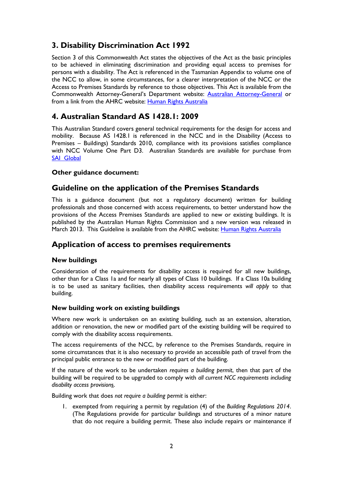## **3. Disability Discrimination Act 1992**

Section 3 of this Commonwealth Act states the objectives of the Act as the basic principles to be achieved in eliminating discrimination and providing equal access to premises for persons with a disability. The Act is referenced in the Tasmanian Appendix to volume one of the NCC to allow, in some circumstances, for a clearer interpretation of the NCC or the Access to Premises Standards by reference to those objectives. This Act is available from the Commonwealth Attorney-General's Department website: [Australian Attorney-General](http://www.ag.gov.au/) or from a link from the AHRC website: [Human Rights Australia](http://www.humanrights.gov.au/) 

## **4. Australian Standard AS 1428.1: 2009**

This Australian Standard covers general technical requirements for the design for access and mobility. Because AS 1428.1 is referenced in the NCC and in the Disability (Access to Premises – Buildings) Standards 2010, compliance with its provisions satisfies compliance with NCC Volume One Part D3. Australian Standards are available for purchase from [SAI Global](http://www.saiglobal.com.au/) 

### **Other guidance document:**

## **Guideline on the application of the Premises Standards**

This is a guidance document (but not a regulatory document) written for building professionals and those concerned with access requirements, to better understand how the provisions of the Access Premises Standards are applied to new or existing buildings. It is published by the Australian Human Rights Commission and a new version was released in March 2013. This Guideline is available from the AHRC website: [Human Rights Australia](http://www.humanrights.gov.au/)

### **Application of access to premises requirements**

### **New buildings**

Consideration of the requirements for disability access is required for all new buildings, other than for a Class 1a and for nearly all types of Class 10 buildings. If a Class 10a building is to be used as sanitary facilities, then disability access requirements *will apply* to that building.

#### **New building work on existing buildings**

Where new work is undertaken on an existing building, such as an extension, alteration, addition or renovation, the new or modified part of the existing building will be required to comply with the disability access requirements.

The access requirements of the NCC, by reference to the Premises Standards, require in some circumstances that it is also necessary to provide an accessible path of travel from the principal public entrance to the new or modified part of the building.

If the nature of the work to be undertaken *requires a building permit*, then that part of the building will be required to be upgraded to comply with *all current NCC requirements including disability access provision*s.

Building work that does *not require a building permit* is either:

1. exempted from requiring a permit by regulation (4) of the *Building Regulations 2014*. (The Regulations provide for particular buildings and structures of a minor nature that do not require a building permit. These also include repairs or maintenance if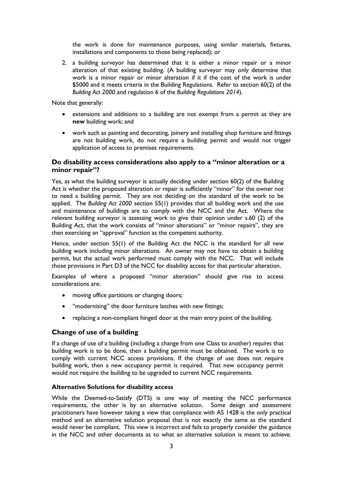the work is done for maintenance purposes, using similar materials, fixtures, installations and components to those being replaced); or

2. a building surveyor has determined that it is either a minor repair or a minor alteration of that existing building. (A building surveyor may only determine that work is a minor repair or minor alteration if it if the cost of the work is under \$5000 and it meets criteria in the Building Regulations. Refer to section 60(2) of the *Building Act 2000* and regulation 6 of the *Building Regulations 2014*).

Note that generally:

- extensions and additions to a building are not exempt from a permit as they are **new** building work; and
- work such as painting and decorating, joinery and installing shop furniture and fittings are not building work, do not require a building permit and would not trigger application of access to premises requirements.

#### **Do disability access considerations also apply to a "minor alteration or a minor repair"?**

Yes, as what the building surveyor is actually deciding under section 60(2) of the Building Act is whether the proposed alteration or repair is sufficiently "minor" for the owner not to need a building permit. They are not deciding on the standard of the work to be applied. The *Building Act 2000* section 55(1) provides that all building work and the use and maintenance of buildings are to comply with the NCC and the Act. Where the relevant building surveyor is assessing work to give their opinion under s.60 (2) of the Building Act, that the work consists of "minor alterations" or "minor repairs", they are then exercising an "approval" function as the competent authority.

Hence, under section 55(1) of the Building Act the NCC is the standard for all new building work including minor alterations. An owner may not have to obtain a building permit, but the actual work performed must comply with the NCC. That will include those provisions in Part D3 of the NCC for disability access for that particular alteration.

Examples of where a proposed "minor alteration" should give rise to access considerations are:

- moving office partitions or changing doors;
- "modernising" the door furniture latches with new fittings;
- replacing a non-compliant hinged door at the main entry point of the building.

#### **Change of use of a building**

If a change of use of a building (including a change from one Class to another) *requires* that building work is to be done, then a building permit must be obtained. The work is to comply with current NCC access provisions. If the change of use does not require building work, then a new occupancy permit is required. That new occupancy permit would not require the building to be upgraded to current NCC requirements.

#### **Alternative Solutions for disability access**

While the Deemed-to-Satisfy (DTS) is one way of meeting the NCC performance requirements, the other is by an alternative solution. Some design and assessment practitioners have however taking a view that compliance with AS 1428 is the only practical method and an alternative solution proposal that is not exactly the same as the standard would never be compliant. This view is incorrect and fails to properly consider the guidance in the NCC and other documents as to what an alternative solution is meant to achieve.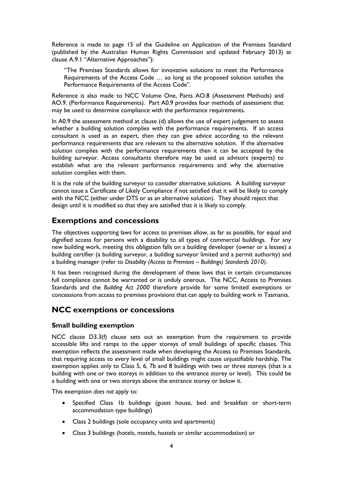Reference is made to page 15 of the Guideline on Application of the Premises Standard (published by the Australian Human Rights Commission and updated February 2013) at clause A.9.1 "Alternative Approaches"):

"The Premises Standards allows for innovative solutions to meet the Performance Requirements of the Access Code … so long as the proposed solution satisfies the Performance Requirements of the Access Code".

Reference is also made to NCC Volume One, Parts AO.8 (Assessment Methods) and AO.9. (Performance Requirements). Part A0.9 provides four methods of assessment that may be used to determine compliance with the performance requirements.

In A0.9 the assessment method at clause (d) allows the use of expert judgement to assess whether a building solution complies with the performance requirements. If an access consultant is used as an expert, then they can give advice according to the relevant performance requirements that are relevant to the alternative solution. If the alternative solution complies with the performance requirements then it can be accepted by the building surveyor. Access consultants therefore may be used as advisors (experts) to establish what are the relevant performance requirements and why the alternative solution complies with them.

It is the role of the building surveyor to consider alternative solutions. A building surveyor cannot issue a Certificate of Likely Compliance if not satisfied that it will be likely to comply with the NCC (either under DTS or as an alternative solution). They should reject that design until it is modified so that they are satisfied that it is likely to comply.

### **Exemptions and concessions**

The objectives supporting laws for access to premises allow, as far as possible, for equal and dignified access for persons with a disability to all types of commercial buildings. For any new building work, meeting this obligation falls on a building developer (owner or a lessee) a building certifier (a building surveyor, a building surveyor limited and a permit authority) and a building manager (refer to *Disability (Access to Premises – Buildings) Standards 2010)*.

It has been recognised during the development of these laws that in certain circumstances full compliance cannot be warranted or is unduly onerous. The NCC, Access to Premises Standards and the *Building Act 2000* therefore provide for some limited exemptions or concessions from access to premises provisions that can apply to building work in Tasmania.

## **NCC exemptions or concessions**

### **Small building exemption**

NCC clause D3.3(f) clause sets out an exemption from the requirement to provide accessible lifts and ramps to the upper storeys of small buildings of specific classes. This exemption reflects the assessment made when developing the Access to Premises Standards, that requiring access to every level of small buildings might cause unjustifiable hardship. The exemption applies only to Class 5, 6, 7b and 8 buildings with two or three storeys (that is a building with one or two storeys in addition to the entrance storey or level). This could be a building with one or two storeys above the entrance storey or below it.

This exemption *does not* apply to:

- Specified Class 1b buildings (guest house, bed and breakfast or short-term accommodation type buildings)
- Class 2 buildings (sole occupancy units and apartments)
- Class 3 buildings (hotels, motels, hostels or similar accommodation) or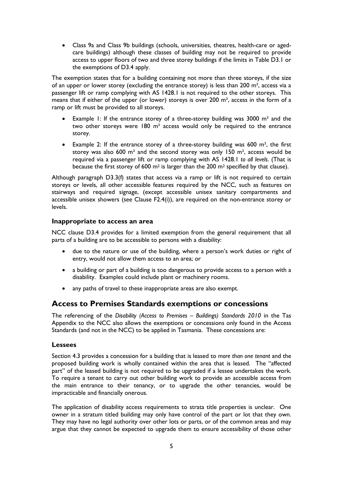• Class 9a and Class 9b buildings (schools, universities, theatres, health-care or agedcare buildings) although these classes of building may not be required to provide access to upper floors of two and three storey buildings if the limits in Table D3.1 or the exemptions of D3.4 apply.

The exemption states that for a building containing not more than three storeys, if the size of an upper or lower storey (excluding the entrance storey) is less than 200 m², access via a passenger lift or ramp complying with AS 1428.1 is not required to the other storeys. This means that if either of the upper (or lower) storeys is over 200 m<sup>2</sup>, access in the form of a ramp or lift must be provided to all storeys.

- Example 1: If the entrance storey of a three-storey building was 3000  $m<sup>2</sup>$  and the two other storeys were  $180 \text{ m}^2$  access would only be required to the entrance storey.
- Example 2: If the entrance storey of a three-storey building was 600 m², the first storey was also 600  $m<sup>2</sup>$  and the second storey was only 150  $m<sup>2</sup>$ , access would be required via a passenger lift or ramp complying with AS 1428.1 *to all levels*. (That is because the first storey of 600 m<sup>2</sup> is larger than the 200 m<sup>2</sup> specified by that clause).

Although paragraph D3.3(f) states that access via a ramp or lift is not required to certain storeys or levels, all other accessible features required by the NCC, such as features on stairways and required signage, (except accessible unisex sanitary compartments and accessible unisex showers (see Clause F2.4(i)), are required on the non-entrance storey or levels.

#### **Inappropriate to access an area**

NCC clause D3.4 provides for a limited exemption from the general requirement that all parts of a building are to be accessible to persons with a disability:

- due to the nature or use of the building, where a person's work duties or right of entry, would not allow them access to an area; or
- a building or part of a building is too dangerous to provide access to a person with a disability. Examples could include plant or machinery rooms.
- any paths of travel to these inappropriate areas are also exempt.

### **Access to Premises Standards exemptions or concessions**

The referencing of the *Disability (Access to Premises – Buildings) Standards 2010* in the Tas Appendix to the NCC also allows the exemptions or concessions only found in the Access Standards (and not in the NCC) to be applied in Tasmania. These concessions are:

#### **Lessees**

Section 4.3 provides a concession for a building that is leased to *more than one tenant* and the proposed building work is wholly contained within the area that is leased. The "affected part" of the leased building is not required to be upgraded if a lessee undertakes the work. To require a tenant to carry out other building work to provide an accessible access from the main entrance to their tenancy, or to upgrade the other tenancies, would be impracticable and financially onerous.

The application of disability access requirements to strata title properties is unclear. One owner in a stratum titled building may only have control of the part or lot that they own. They may have no legal authority over other lots or parts, or of the common areas and may argue that they cannot be expected to upgrade them to ensure accessibility of those other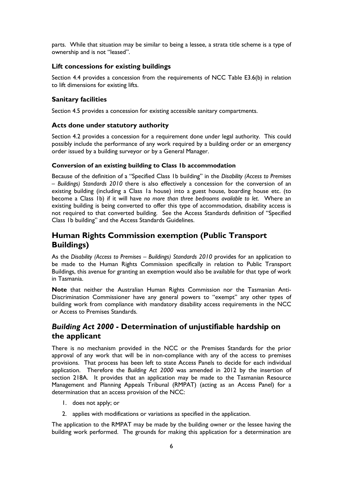parts. While that situation may be similar to being a lessee, a strata title scheme is a type of ownership and is not "leased".

### **Lift concessions for existing buildings**

Section 4.4 provides a concession from the requirements of NCC Table E3.6(b) in relation to lift dimensions for existing lifts.

### **Sanitary facilities**

Section 4.5 provides a concession for existing accessible sanitary compartments.

### **Acts done under statutory authority**

Section 4.2 provides a concession for a requirement done under legal authority. This could possibly include the performance of any work required by a building order or an emergency order issued by a building surveyor or by a General Manager.

#### **Conversion of an existing building to Class 1b accommodation**

Because of the definition of a "Specified Class 1b building" in the *Disability (Access to Premises – Buildings) Standards 2010* there is also effectively a concession for the conversion of an existing building (including a Class 1a house) into a guest house, boarding house etc. (to become a Class 1b) if it will have *no more than three bedrooms available to let*. Where an existing building is being converted to offer this type of accommodation, disability access is not required to that converted building. See the Access Standards definition of "Specified Class 1b building" and the Access Standards Guidelines.

## **Human Rights Commission exemption (Public Transport Buildings)**

As the *Disability (Access to Premises – Buildings) Standards 2010* provides for an application to be made to the Human Rights Commission specifically in relation to Public Transport Buildings, this avenue for granting an exemption would also be available for that type of work in Tasmania.

**Note** that neither the Australian Human Rights Commission nor the Tasmanian Anti-Discrimination Commissioner have any general powers to "exempt" any other types of building work from compliance with mandatory disability access requirements in the NCC or Access to Premises Standards.

## *Building Act 2000* **- Determination of unjustifiable hardship on the applicant**

There is no mechanism provided in the NCC or the Premises Standards for the prior approval of any work that will be in non-compliance with any of the access to premises provisions. That process has been left to state Access Panels to decide for each individual application. Therefore the *Building Act 2000* was amended in 2012 by the insertion of section 218A. It provides that an application may be made to the Tasmanian Resource Management and Planning Appeals Tribunal (RMPAT) (acting as an Access Panel) for a determination that an access provision of the NCC:

- 1. does not apply; or
- 2. applies with modifications or variations as specified in the application.

The application to the RMPAT may be made by the building owner or the lessee having the building work performed. The grounds for making this application for a determination are